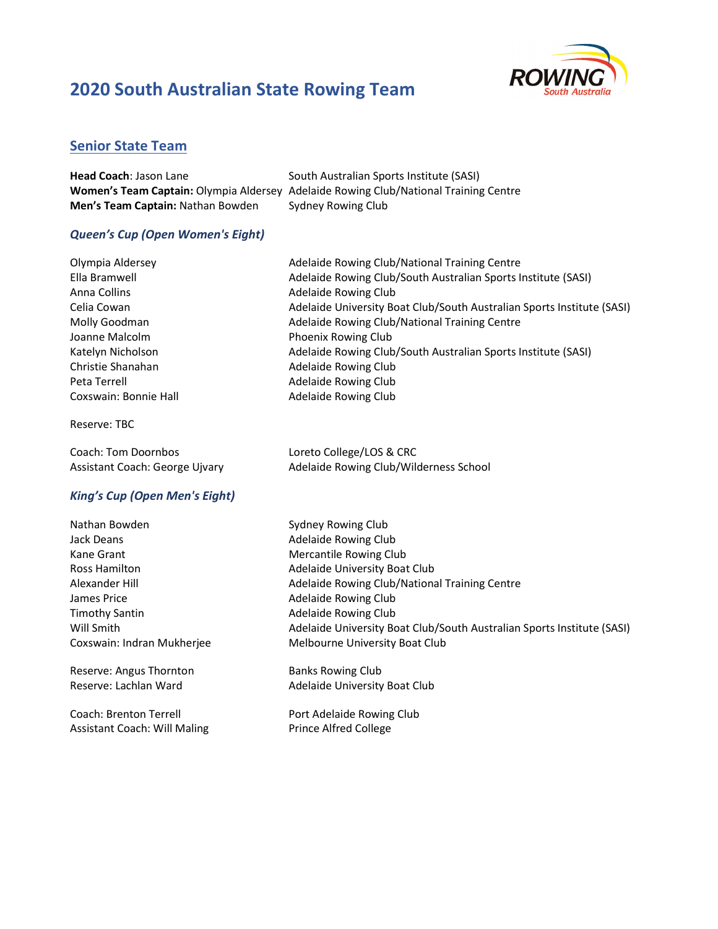

### Senior State Team

| <b>Head Coach: Jason Lane</b>            | South Australian Sports Institute (SASI)                                                    |
|------------------------------------------|---------------------------------------------------------------------------------------------|
|                                          | <b>Women's Team Captain:</b> Olympia Aldersey Adelaide Rowing Club/National Training Centre |
| <b>Men's Team Captain: Nathan Bowden</b> | Sydney Rowing Club                                                                          |

#### Queen's Cup (Open Women's Eight)

| Olympia Aldersey      | Adelaide Rowing Club/National Training Centre                          |
|-----------------------|------------------------------------------------------------------------|
| Ella Bramwell         | Adelaide Rowing Club/South Australian Sports Institute (SASI)          |
| Anna Collins          | Adelaide Rowing Club                                                   |
| Celia Cowan           | Adelaide University Boat Club/South Australian Sports Institute (SASI) |
| Molly Goodman         | Adelaide Rowing Club/National Training Centre                          |
| Joanne Malcolm        | Phoenix Rowing Club                                                    |
| Katelyn Nicholson     | Adelaide Rowing Club/South Australian Sports Institute (SASI)          |
| Christie Shanahan     | Adelaide Rowing Club                                                   |
| Peta Terrell          | Adelaide Rowing Club                                                   |
| Coxswain: Bonnie Hall | Adelaide Rowing Club                                                   |
| Reserve: TBC          |                                                                        |

Coach: Tom Doornbos Loreto College/LOS & CRC Assistant Coach: George Ujvary **Adelaide Rowing Club/Wilderness School** 

#### King's Cup (Open Men's Eight)

Nathan Bowden Sydney Rowing Club Jack Deans **Adelaide Rowing Club Adelaide Rowing Club** Kane Grant Mercantile Rowing Club James Price **Adelaide Rowing Club** Timothy Santin **Adelaide Rowing Club Adelaide Rowing Club** 

Reserve: Angus Thornton Banks Rowing Club

Coach: Brenton Terrell **Port Adelaide Rowing Club** Assistant Coach: Will Maling Prince Alfred College

Ross Hamilton **Adelaide University Boat Club** Alexander Hill Adelaide Rowing Club/National Training Centre Will Smith **Adelaide University Boat Club/South Australian Sports Institute (SASI)** Adelaide University Boat Club Coxswain: Indran Mukherjee Melbourne University Boat Club

Reserve: Lachlan Ward **Adelaide University Boat Club**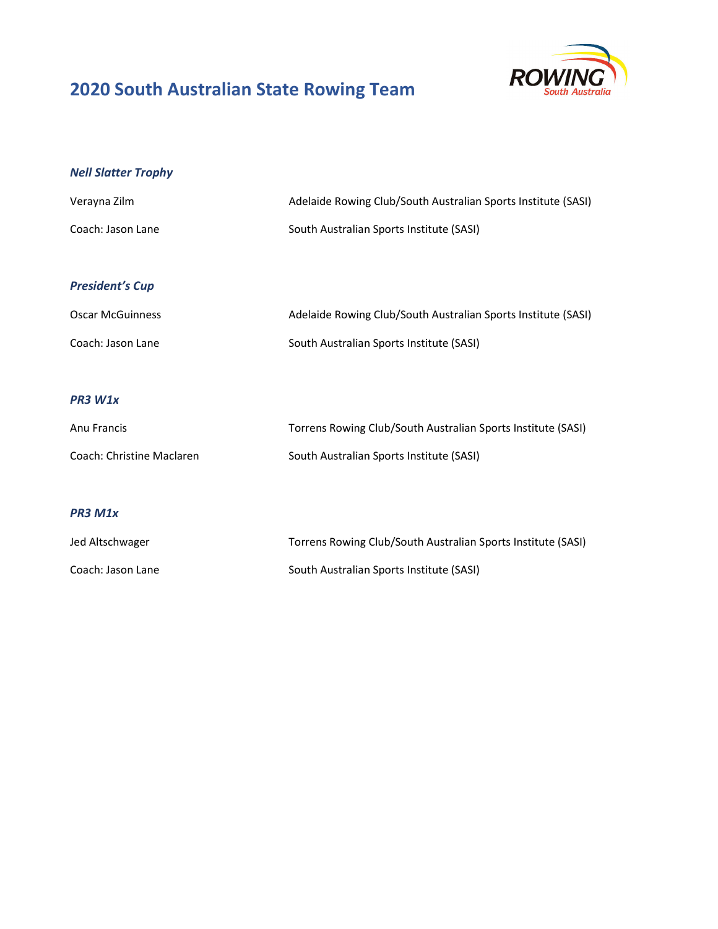

# Nell Slatter Trophy

| Verayna Zilm      | Adelaide Rowing Club/South Australian Sports Institute (SASI) |
|-------------------|---------------------------------------------------------------|
| Coach: Jason Lane | South Australian Sports Institute (SASI)                      |

## President's Cup

| <b>Oscar McGuinness</b> | Adelaide Rowing Club/South Australian Sports Institute (SASI) |
|-------------------------|---------------------------------------------------------------|
| Coach: Jason Lane       | South Australian Sports Institute (SASI)                      |

### PR3 W1x

| Anu Francis               | Torrens Rowing Club/South Australian Sports Institute (SASI) |
|---------------------------|--------------------------------------------------------------|
| Coach: Christine Maclaren | South Australian Sports Institute (SASI)                     |

#### PR3 M1x

| Jed Altschwager   | Torrens Rowing Club/South Australian Sports Institute (SASI) |
|-------------------|--------------------------------------------------------------|
| Coach: Jason Lane | South Australian Sports Institute (SASI)                     |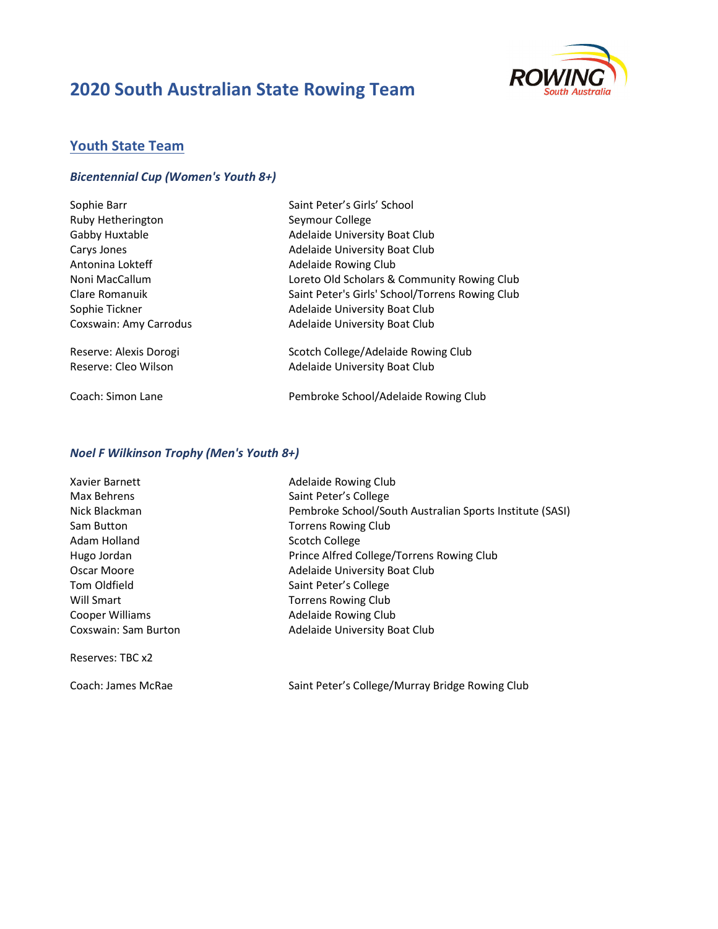

## Youth State Team

#### Bicentennial Cup (Women's Youth 8+)

| Sophie Barr                   | Saint Peter's Girls' School                     |
|-------------------------------|-------------------------------------------------|
| Ruby Hetherington             | Seymour College                                 |
| Gabby Huxtable                | Adelaide University Boat Club                   |
| Carys Jones                   | Adelaide University Boat Club                   |
| Antonina Lokteff              | <b>Adelaide Rowing Club</b>                     |
| Noni MacCallum                | Loreto Old Scholars & Community Rowing Club     |
| Clare Romanuik                | Saint Peter's Girls' School/Torrens Rowing Club |
| Sophie Tickner                | Adelaide University Boat Club                   |
| <b>Coxswain: Amy Carrodus</b> | Adelaide University Boat Club                   |
| Reserve: Alexis Dorogi        | Scotch College/Adelaide Rowing Club             |
| Reserve: Cleo Wilson          | Adelaide University Boat Club                   |
| Coach: Simon Lane             | Pembroke School/Adelaide Rowing Club            |

#### Noel F Wilkinson Trophy (Men's Youth 8+)

| Xavier Barnett       |
|----------------------|
| Max Behrens          |
| Nick Blackman        |
| Sam Button           |
| Adam Holland         |
| Hugo Jordan          |
| Oscar Moore          |
| Tom Oldfield         |
| Will Smart           |
| Cooper Williams      |
| Coxswain: Sam Burtor |

Reserves: TBC x2

Adelaide Rowing Club Saint Peter's College Pembroke School/South Australian Sports Institute (SASI) Torrens Rowing Club Scotch College Prince Alfred College/Torrens Rowing Club Adelaide University Boat Club Saint Peter's College Torrens Rowing Club Adelaide Rowing Club n **Communist Adelaide University Boat Club** 

Coach: James McRae Saint Peter's College/Murray Bridge Rowing Club